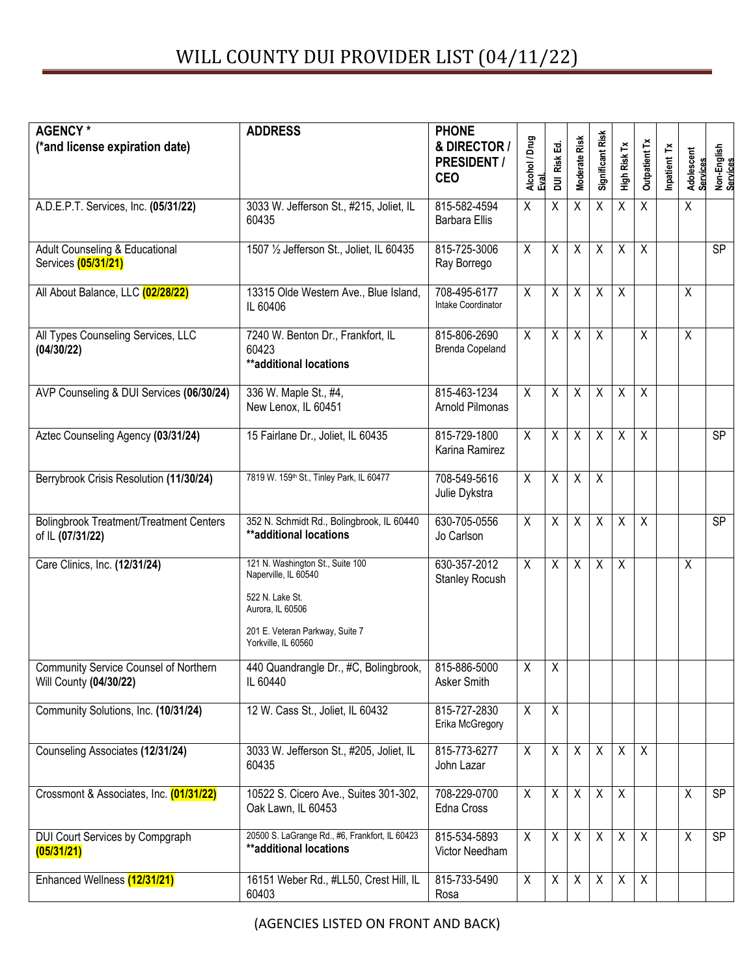| <b>AGENCY*</b>                                                     | <b>ADDRESS</b>                                                                                                                                            | <b>PHONE</b><br>& DIRECTOR /          |                        |                       |                      |                  |                    |                      |                |                        |                         |
|--------------------------------------------------------------------|-----------------------------------------------------------------------------------------------------------------------------------------------------------|---------------------------------------|------------------------|-----------------------|----------------------|------------------|--------------------|----------------------|----------------|------------------------|-------------------------|
| (*and license expiration date)                                     |                                                                                                                                                           | <b>PRESIDENT /</b><br><b>CEO</b>      | Alcohol / Drug<br>Eval | Risk Ed.<br>$\bar{a}$ | <b>Moderate Risk</b> | Significant Risk | High Risk Tx       | <b>Outpatient Tx</b> | ř<br>Inpatient | Adolescent<br>Services | Non-English<br>Services |
| A.D.E.P.T. Services, Inc. (05/31/22)                               | 3033 W. Jefferson St., #215, Joliet, IL<br>60435                                                                                                          | 815-582-4594<br><b>Barbara Ellis</b>  | $\mathsf{X}$           | X                     | X                    | $\sf X$          | $\mathsf{X}$       | $\mathsf{X}$         |                | X                      |                         |
| Adult Counseling & Educational<br>Services (05/31/21)              | 1507 1/2 Jefferson St., Joliet, IL 60435                                                                                                                  | 815-725-3006<br>Ray Borrego           | X                      | $\sf X$               | X                    | X                | χ                  | X                    |                |                        | <b>SP</b>               |
| All About Balance, LLC (02/28/22)                                  | 13315 Olde Western Ave., Blue Island,<br>IL 60406                                                                                                         | 708-495-6177<br>Intake Coordinator    | $\overline{X}$         | $\sf X$               | X                    | X                | $\overline{X}$     |                      |                | X                      |                         |
| All Types Counseling Services, LLC<br>(04/30/22)                   | 7240 W. Benton Dr., Frankfort, IL<br>60423<br>**additional locations                                                                                      | 815-806-2690<br>Brenda Copeland       | X                      | $\mathsf{X}$          | $\mathsf{X}$         | $\sf X$          |                    | X                    |                | X                      |                         |
| AVP Counseling & DUI Services (06/30/24)                           | 336 W. Maple St., #4,<br>New Lenox, IL 60451                                                                                                              | 815-463-1234<br>Arnold Pilmonas       | $\overline{X}$         | $\overline{X}$        | $\overline{X}$       | $\overline{X}$   | $\overline{X}$     | $\overline{X}$       |                |                        |                         |
| Aztec Counseling Agency (03/31/24)                                 | 15 Fairlane Dr., Joliet, IL 60435                                                                                                                         | 815-729-1800<br>Karina Ramirez        | X                      | X                     | X                    | $\sf X$          | X                  | $\sf X$              |                |                        | SP                      |
| Berrybrook Crisis Resolution (11/30/24)                            | 7819 W. 159th St., Tinley Park, IL 60477                                                                                                                  | 708-549-5616<br>Julie Dykstra         | X                      | $\sf X$               | χ                    | X                |                    |                      |                |                        |                         |
| <b>Bolingbrook Treatment/Treatment Centers</b><br>of IL (07/31/22) | 352 N. Schmidt Rd., Bolingbrook, IL 60440<br>**additional locations                                                                                       | 630-705-0556<br>Jo Carlson            | $\overline{X}$         | $\overline{X}$        | $\overline{X}$       | $\overline{X}$   | $\overline{X}$     | $\overline{X}$       |                |                        | <b>SP</b>               |
| Care Clinics, Inc. (12/31/24)                                      | 121 N. Washington St., Suite 100<br>Naperville, IL 60540<br>522 N. Lake St.<br>Aurora, IL 60506<br>201 E. Veteran Parkway, Suite 7<br>Yorkville, IL 60560 | 630-357-2012<br><b>Stanley Rocush</b> | X                      | $\mathsf{X}$          | X                    | $\mathsf{X}$     | $\pmb{\mathsf{X}}$ |                      |                | $\mathsf X$            |                         |
| Community Service Counsel of Northern<br>Will County (04/30/22)    | 440 Quandrangle Dr., #C, Bolingbrook,<br>IL 60440                                                                                                         | 815-886-5000<br>Asker Smith           | $\pmb{\chi}$           | X                     |                      |                  |                    |                      |                |                        |                         |
| Community Solutions, Inc. (10/31/24)                               | 12 W. Cass St., Joliet, IL 60432                                                                                                                          | 815-727-2830<br>Erika McGregory       | $\overline{X}$         | $\overline{X}$        |                      |                  |                    |                      |                |                        |                         |
| Counseling Associates (12/31/24)                                   | 3033 W. Jefferson St., #205, Joliet, IL<br>60435                                                                                                          | 815-773-6277<br>John Lazar            | X                      | $\mathsf{X}$          | X                    | $\sf X$          | X                  | X                    |                |                        |                         |
| Crossmont & Associates, Inc. (01/31/22)                            | 10522 S. Cicero Ave., Suites 301-302,<br>Oak Lawn, IL 60453                                                                                               | 708-229-0700<br>Edna Cross            | $\mathsf{X}$           | $\mathsf{X}$          | X                    | $\sf X$          | X                  |                      |                | X                      | <b>SP</b>               |
| DUI Court Services by Compgraph<br>(05/31/21)                      | 20500 S. LaGrange Rd., #6, Frankfort, IL 60423<br>**additional locations                                                                                  | 815-534-5893<br>Victor Needham        | $\mathsf X$            | $\mathsf{X}$          | X                    | $\sf X$          | $\mathsf X$        | $\mathsf{X}$         |                | χ                      | SP                      |
| Enhanced Wellness (12/31/21)                                       | 16151 Weber Rd., #LL50, Crest Hill, IL<br>60403                                                                                                           | 815-733-5490<br>Rosa                  | X                      | X                     | X                    | X                | X                  | X                    |                |                        |                         |